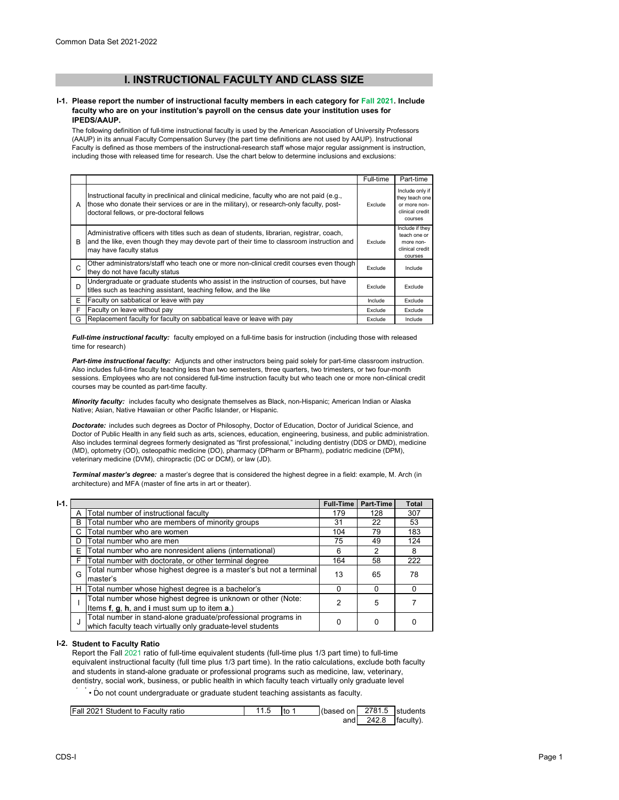# **I. INSTRUCTIONAL FACULTY AND CLASS SIZE**

#### **I-1. Please report the number of instructional faculty members in each category for Fall 2021. Include faculty who are on your institution's payroll on the census date your institution uses for IPEDS/AAUP.**

The following definition of full-time instructional faculty is used by the American Association of University Professors (AAUP) in its annual Faculty Compensation Survey (the part time definitions are not used by AAUP). Instructional Faculty is defined as those members of the instructional-research staff whose major regular assignment is instruction, including those with released time for research. Use the chart below to determine inclusions and exclusions:

|   |                                                                                                                                                                                                                                      | Full-time | Part-time                                                                       |
|---|--------------------------------------------------------------------------------------------------------------------------------------------------------------------------------------------------------------------------------------|-----------|---------------------------------------------------------------------------------|
| A | Instructional faculty in preclinical and clinical medicine, faculty who are not paid (e.g.,<br>those who donate their services or are in the military), or research-only faculty, post-<br>doctoral fellows, or pre-doctoral fellows | Exclude   | Include only if<br>they teach one<br>or more non-<br>clinical credit<br>courses |
| в | Administrative officers with titles such as dean of students, librarian, registrar, coach,<br>and the like, even though they may devote part of their time to classroom instruction and<br>may have faculty status                   |           | Include if they<br>teach one or<br>more non-<br>clinical credit<br>courses      |
| C | Other administrators/staff who teach one or more non-clinical credit courses even though<br>they do not have faculty status                                                                                                          | Exclude   | Include                                                                         |
| D | Undergraduate or graduate students who assist in the instruction of courses, but have<br>titles such as teaching assistant, teaching fellow, and the like                                                                            |           | Exclude                                                                         |
| Е | Faculty on sabbatical or leave with pay                                                                                                                                                                                              | Include   | Exclude                                                                         |
| F | Faculty on leave without pay                                                                                                                                                                                                         | Exclude   | Exclude                                                                         |
| G | Replacement faculty for faculty on sabbatical leave or leave with pay                                                                                                                                                                | Exclude   | Include                                                                         |

*Full-time instructional faculty:* faculty employed on a full-time basis for instruction (including those with released time for research)

*Part-time instructional faculty:* Adjuncts and other instructors being paid solely for part-time classroom instruction. Also includes full-time faculty teaching less than two semesters, three quarters, two trimesters, or two four-month sessions. Employees who are not considered full-time instruction faculty but who teach one or more non-clinical credit courses may be counted as part-time faculty.

*Minority faculty:* includes faculty who designate themselves as Black, non-Hispanic; American Indian or Alaska Native; Asian, Native Hawaiian or other Pacific Islander, or Hispanic.

*Doctorate:* includes such degrees as Doctor of Philosophy, Doctor of Education, Doctor of Juridical Science, and Doctor of Public Health in any field such as arts, sciences, education, engineering, business, and public administration. Also includes terminal degrees formerly designated as "first professional," including dentistry (DDS or DMD), medicine (MD), optometry (OD), osteopathic medicine (DO), pharmacy (DPharm or BPharm), podiatric medicine (DPM), veterinary medicine (DVM), chiropractic (DC or DCM), or law (JD).

*Terminal master's degree:* a master's degree that is considered the highest degree in a field: example, M. Arch (in architecture) and MFA (master of fine arts in art or theater).

| $I-1.$ |    |                                                                                                                             | <b>Full-Time</b> | Part-Time | <b>Total</b> |
|--------|----|-----------------------------------------------------------------------------------------------------------------------------|------------------|-----------|--------------|
|        |    | Total number of instructional faculty                                                                                       | 179              | 128       | 307          |
|        | B  | Total number who are members of minority groups                                                                             | 31               | 22        | 53           |
|        | C. | Total number who are women                                                                                                  | 104              | 79        | 183          |
|        | D  | Total number who are men                                                                                                    | 75               | 49        | 124          |
|        | Ε  | Total number who are nonresident aliens (international)                                                                     | 6                | 2         | 8            |
|        | F  | Total number with doctorate, or other terminal degree                                                                       | 164              | 58        | 222          |
|        | G  | Total number whose highest degree is a master's but not a terminal<br>master's                                              | 13               | 65        | 78           |
|        | н  | Total number whose highest degree is a bachelor's                                                                           | o                |           | O            |
|        |    | Total number whose highest degree is unknown or other (Note:<br>Items f, g, h, and i must sum up to item a.)                |                  | 5         |              |
|        | J  | Total number in stand-alone graduate/professional programs in<br>which faculty teach virtually only graduate-level students | 0                | 0         | 0            |

## **I-2. Student to Faculty Ratio**

Report the Fall 2021 ratio of full-time equivalent students (full-time plus 1/3 part time) to full-time equivalent instructional faculty (full time plus 1/3 part time). In the ratio calculations, exclude both faculty and students in stand-alone graduate or professional programs such as medicine, law, veterinary, dentistry, social work, business, or public health in which faculty teach virtually only graduate level

 $\dot{\phantom{\phi}}$   $\cdot$  Do not count undergraduate or graduate student teaching assistants as faculty.

| <b>Fall 2021 Student to Faculty ratio</b> | to | (based on | 2781.5 | students  |
|-------------------------------------------|----|-----------|--------|-----------|
|                                           |    | and       | 242.8  | faculty). |